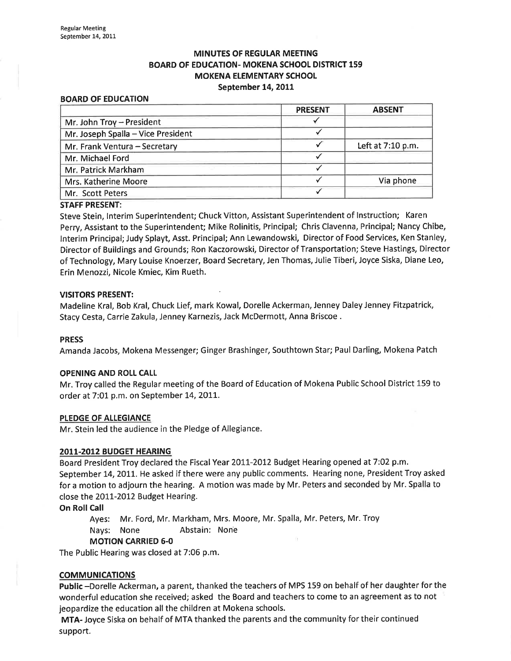# MINUTES OF REGULAR MEETING BOARD OF EDUCATION- MOKENA SCHOOL DISTRICT 159 MOKENA ELEMENTARY SCHOOL September 14, 2011

#### BOARD OF EDUCATION

|                                    | <b>PRESENT</b> | <b>ABSENT</b>     |
|------------------------------------|----------------|-------------------|
| Mr. John Troy - President          |                |                   |
| Mr. Joseph Spalla - Vice President |                |                   |
| Mr. Frank Ventura - Secretary      |                | Left at 7:10 p.m. |
| Mr. Michael Ford                   |                |                   |
| Mr. Patrick Markham                |                |                   |
| Mrs. Katherine Moore               |                | Via phone         |
| Mr. Scott Peters                   |                |                   |
|                                    |                |                   |

#### STAFF PRESENT:

Steve Stein, Interim Superintendent; Chuck Vitton, Assistant Superintendent of Instruction; Karen Perry, Assistant to the Superintendent; Mike Rolinitis, Principal; Chris Clavenna, Principal; Nancy Chibe, lnterim Principal; Judy Splayt, Asst. Principal; Ann Lewandowski, Director of Food Services, Ken Stanley, Director of Buildings and Grounds; Ron Kaczorowski, Director of Transportation; Steve Hastings, Director of Technology, Mary Louise Knoerzer, Board Secretary, Jen Thomas, Julie Tiberi, Joyce Siska, Diane Leo, Erin Menozzi, Nicole Kmiec, Kim Rueth.

#### VISITORS PRESENT:

Madeline Kral, Bob Kral, Chuck Lief, mark Kowal, Dorelle Ackerman, Jenney Daley Jenney Fitzpatrick, Stacy Cesta, Carrie Zakula, Jenney Karnezis, Jack McDermott, Anna Briscoe .

#### PRESS

Amanda Jacobs, Mokena Messenger; Ginger Brashinger, Southtown Star; Paul Darling, Mokena Patch

#### OPENING AND ROLL CALL

Mr. Troy called the Regular meeting of the Board of Education of Mokena Public School District 159 to order at 7:01 p.m. on September 14, 2011.

#### PLEDGE OF ALLEGIANCE

Mr. Stein led the audience in the Pledge of Allegiance.

#### 2011-2012 BUDGET HEARING

Board President Troy declared the Fiscal Year 2011-2012 Budget Hearing opened at 7:02 p.m. September 14, 2011. He asked if there were any public comments. Hearing none, President Troy asked for a motion to adjourn the hearing. A motion was made by Mr. Peters and seconded by Mr. Spalla to close the 2011-2012 Budget Hearing.

On Roll Call

Ayes: Mr. Ford, Mr. Markham, Mrs. Moore, Mr. Spalla, Mr. Peters, Mr. Troy Nays: None Abstain: Nonê

### MOTION CARRIED 6-0

The Public Hearing was closed at 7:06 p.m.

### COMMUNICATIONS

Public -Dorelle Ackerman, a parent, thanked the teachers of MPS 159 on behalf of her daughter for the wonderful education she received; asked the Board and teachers to come to an agreement as to not jeopardize the education all the children at Mokena schools.

MTA- Joyce Siska on behalf of MTA thanked the parents and the community for their continued support.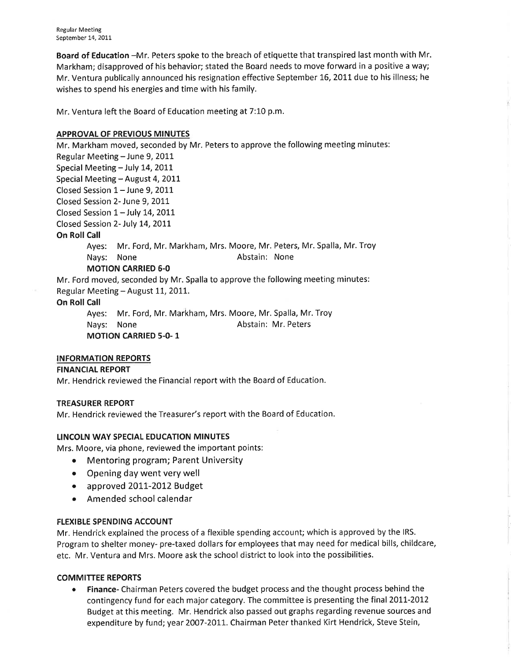Board of Education -Mr. Peters spoke to the breach of etiquette that transpired last month with Mr. Markham; disapproved of his behavior; stated the Board needs to move forward in a positive a way; Mr. Ventura publically announced his resignation effective September 16, 2011 due to his illness; he wishes to spend his energies and time with his family.

Mr. Ventura left the Board of Education meeting at 7:10 p.m.

# APPROVAL OF PREVIOUS MINUTES

Mr. Markham moved, seconded by Mr. Peters to approve the following meeting minutes: Regular Meeting - June 9, 2011

Special Meeting - July 14, 2011

Special Meeting - August 4, 2011

Closed Session  $1 -$  June 9, 2011

Closed Session 2- June 9, 2011

Closed Session  $1 -$  July 14, 2011

Closed Session 2- July L4,20IL

# **On Roll Call**

Ayes: Mr. Ford, Mr. Markham, Mrs. Moore, Mr. Peters, Mr. Spalla, Mr. Troy Nays: None **Abstain:** None

# MOTION CARRIED 6-0

Mr. Ford moved, seconded by Mr. Spalla to approve the following meeting minutes: Regular Meeting - August 11, 2011.

# **On Roll Call**

Ayes: Mr. Ford, Mr. Markham, Mrs. Moore, Mr. Spalla, Mr. Troy Nays: None **Abstain: Mr. Peters** MOTION CARRIED 5-O- 1

# INFORMATION REPORTS

# FINANCIAL REPORT

Mr. Hendrick reviewed the Financial report with the Board of Education.

# TREASURER REPORT

Mr. Hendrick reviewed the Treasurer's report with the Board of Education.

# LINCOLN WAY SPECIAL EDUCATION MINUTES

Mrs. Moore, via phone, reviewed the important points:

- Mentoring program; Parent University
- Opening day went very well
- approved 2011-2012 Budget
- Amended school calendar

# FLEXIBLE SPENDING ACCOUNT

Mr. Hendrick explained the process of a flexible spending account; which is approved by the IRS. Program to shelter money- pre-taxed dollars for employees that may need for medical bills, childcare, etc. Mr. Ventura and Mrs. Moore ask the school district to look into the possibilities.

# COMMITTEE REPORTS

Finance- Chairman Peters covered the budget process and the thought process behind the contingency fund for each major category. The committee is presenting the final 2011-2012 Budget at this meeting. Mr. Hendrick also passed out graphs regarding revenue sources and expenditure by fund; year 2OO7-2011. Chairman Peter thanked Kirt Hendrick, Steve Stein,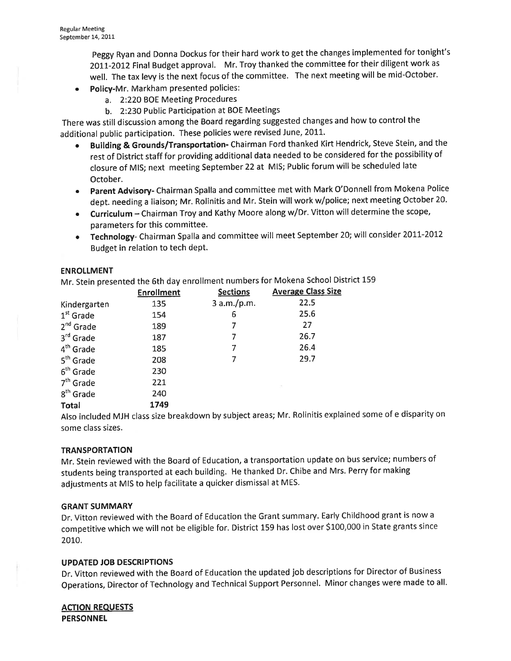peggy Ryan and Donna Dockus for their hard work to get the changes implemented for tonight's 2011-2012 Final Budget approval. Mr. Troy thanked the committee for their diligent work as well. The tax levy is the next focus of the committee. The next meeting will be mid-October.

- Policy-Mr. Markham presented policies:
	- a. 2:220 BOE Meeting Procedures
	- b. 2:230 Public Participation at BOE Meetings

There was still discussion among the Board regarding suggested changes and how to control the additional public participation. These policies were revised June, 2011.

- o Building & Grounds/Transportation- Chairman Ford thanked Kirt Hendrick, Steve Stein, and the rest of District staff for providing additional data needed to be considered for the possibility of closure of MIS; next meeting September 22 at MIS; Public forum will be scheduled late October.
- o parent Advisory- Chairman Spalla and committee met with Mark O'Donnell from Mokena Police dept. needing a liaison; Mr. Rolinitis and Mr. Stein will work w/police; next meeting October 20.
- Curriculum Chairman Troy and Kathy Moore along w/Dr. Vitton will determine the scope, parameters for this committee.
- Technology- Chairman Spalla and committee will meet September 20; will consider 2011-2012 Budget in relation to tech dept.

### **ENROLLMENT**

Mr. Stein presented the 6th day enrollment numbers for Mokena School District 159

|                       | <b>Enrollment</b> | <b>Sections</b> | <b>Average Class Size</b> |
|-----------------------|-------------------|-----------------|---------------------------|
| Kindergarten          | 135               | 3 a.m./p.m.     | 22.5                      |
| $1st$ Grade           | 154               | 6               | 25.6                      |
| $2^{nd}$ Grade        | 189               |                 | 27                        |
| $3rd$ Grade           | 187               | 7               | 26.7                      |
| 4 <sup>th</sup> Grade | 185               | 7               | 26.4                      |
| 5 <sup>th</sup> Grade | 208               | 7               | 29.7                      |
| 6 <sup>th</sup> Grade | 230               |                 |                           |
| $7th$ Grade           | 221               |                 |                           |
| 8 <sup>th</sup> Grade | 240               |                 |                           |
| <b>Total</b>          | 1749              |                 |                           |

Also included MJH class size breakdown by subject areas; Mr. Rolinitis explained some of e disparity on some class sizes.

### **TRANSPORTATION**

Mr. Stein reviewed with the Board of Education, a transportation update on bus service; numbers of students being transported at each building. He thanked Dr. Chibe and Mrs. Perry for making adjustments at MIS to help facilitate a quicker dismissal at MES.

### GRANT SUMMARY

Dr. Vitton reviewed with the Board of Education the Grant summary. Early Childhood grant is now a competitive which we will not be eligible for. District 159 has lost over 5100,000 in State grants since 2010.

# UPDATED JOB DESCRIPTIONS

Dr. Vitton reviewed with the Board of Education the updated job descriptions for Director of Business Operations, Director of Technology and Technical Support Personnel. Minor changes were made to all.

ACTION REQUESTS **PERSONNEL**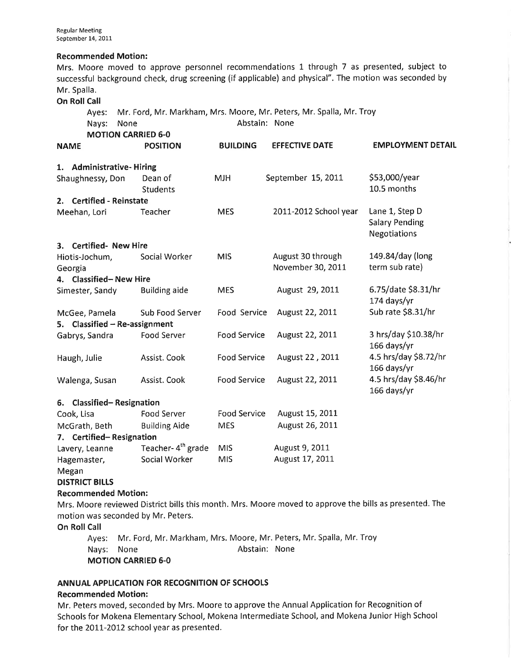### Recommended Motion:

Mrs. Moore moved to approve personnel recommendations 1 through 7 as presented, subject to successful background check, drug screening (if applicable) and physical". The motion was seconded by Mr. Spalla.

### **On Roll Call**

Ayes: Mr. Ford, Mr. Markham, Mrs. Moore, Mr. Peters, Mr. Spalla, Mr. Troy

| Nays:<br>None<br><b>MOTION CARRIED 6-0</b>     |                               | Abstain: None       |                                        |                                                         |  |
|------------------------------------------------|-------------------------------|---------------------|----------------------------------------|---------------------------------------------------------|--|
| <b>NAME</b>                                    | <b>POSITION</b>               | <b>BUILDING</b>     | <b>EFFECTIVE DATE</b>                  | <b>EMPLOYMENT DETAIL</b>                                |  |
| 1. Administrative-Hiring                       |                               |                     |                                        |                                                         |  |
| Shaughnessy, Don                               | Dean of<br><b>Students</b>    | <b>MJH</b>          | September 15, 2011                     | \$53,000/year<br>10.5 months                            |  |
| <b>Certified - Reinstate</b><br>2.             |                               |                     |                                        |                                                         |  |
| Meehan, Lori                                   | Teacher                       | <b>MES</b>          | 2011-2012 School year                  | Lane 1, Step D<br><b>Salary Pending</b><br>Negotiations |  |
| 3. Certified- New Hire                         |                               |                     |                                        |                                                         |  |
| Hiotis-Jochum,<br>Georgia                      | Social Worker                 | <b>MIS</b>          | August 30 through<br>November 30, 2011 | 149.84/day (long<br>term sub rate)                      |  |
| 4. Classified-New Hire                         |                               |                     |                                        |                                                         |  |
| Simester, Sandy                                | <b>Building aide</b>          | <b>MES</b>          | August 29, 2011                        | 6.75/date \$8.31/hr<br>174 days/yr                      |  |
| McGee, Pamela<br>5. Classified - Re-assignment | Sub Food Server               | Food Service        | August 22, 2011                        | Sub rate \$8.31/hr                                      |  |
| Gabrys, Sandra                                 | Food Server                   | <b>Food Service</b> | August 22, 2011                        | 3 hrs/day \$10.38/hr<br>166 days/yr                     |  |
| Haugh, Julie                                   | Assist. Cook                  | <b>Food Service</b> | August 22, 2011                        | 4.5 hrs/day \$8.72/hr<br>166 days/yr                    |  |
| Walenga, Susan                                 | Assist. Cook                  | <b>Food Service</b> | August 22, 2011                        | 4.5 hrs/day \$8.46/hr<br>166 days/yr                    |  |
| 6. Classified-Resignation                      |                               |                     |                                        |                                                         |  |
| Cook, Lisa                                     | <b>Food Server</b>            | <b>Food Service</b> | August 15, 2011                        |                                                         |  |
| McGrath, Beth                                  | <b>Building Aide</b>          | <b>MES</b>          | August 26, 2011                        |                                                         |  |
| 7. Certified-Resignation                       |                               |                     |                                        |                                                         |  |
| Lavery, Leanne                                 | Teacher-4 <sup>th</sup> grade | <b>MIS</b>          | August 9, 2011                         |                                                         |  |
| Hagemaster,<br>Megan                           | Social Worker                 | <b>MIS</b>          | August 17, 2011                        |                                                         |  |

**DISTRICT BILLS** 

# Recommended Motion:

Mrs. Moore reviewed District bills this month. Mrs. Moore moved to approve the bills as presented. The motion was seconded by Mr. Peters.

On Roll Call

Ayes: Mr. Ford, Mr, Markham, Mrs. Moore, Mr. Peters, Mr. Spalla, Mr. Troy Nays: None **Abstain:** None MOTION CARRIED 6-0

# ANNUAL APPLICATION FOR RECOGNITION OF SCHOOLS

# Recommended Motion:

Mr. Peters moved, seconded by Mrs. Moore to approve the Annual Application for Recognition of Schools for Mokena Elementary School, Mokena lntermediate School, and Mokena Junior High School for the 2011-2012 school year as presented.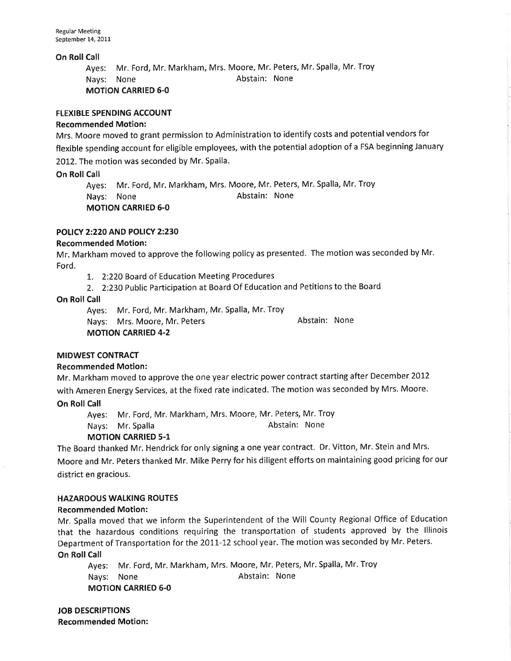On Roll Call

Ayes: Mr. Ford, Mr. Markham, Mrs. Moore, Mr. Peters, Mr. Spalla, Mr. Troy Nays: None Abstain: None

MOTION CARRIED 6-0

### **FLEXIBLE SPENDING ACCOUNT**

### Recommended Motion:

Mrs. Moore moved to grant permission to Administration to identify costs and potential vendors for flexible spending account for eligible employees, with the potential adoption of a FSA beginning January 2012. The motion was seconded by Mr. Spalla.

### On Roll Call

Ayes: Mr. Ford, Mr. Markham, Mrs. Moore, Mr. Peters, Mr. Spalla, Mr. Troy Nays: None **Abstain:** None MOTION CARRIED 6.0

### POLICY 2:220 AND POLICY 2:230

### Recommended Motion:

Mr. Markham moved to approve the following policy as presented. The motion was seconded by Mr. Ford.

- 7. 2:220 Board of Education Meeting Procedures
- 2. 2:230 Public Participation at Board Of Education and Petitions to the Board

### On Roll Call

Nays: Mrs. Moore, Mr. Peters MOTION CARRIED 4-2 Abstain: None Ayes: Mr. Ford, Mr. Markham, Mr. Spalla, Mr. Troy

# MIDWEST CONTRACT

### Recommended Motion:

Mr. Markham moved to approve the one year electric power contract starting after December 2012 with Ameren Energy Services, at the fixed rate indicated. The motion was seconded by Mrs. Moore.

### **On Roll Call**

Ayes: Mr. Ford, Mr. Markham, Mrs. Moore, Mr. Peters, Mr. Troy<br>Nays: Mr. Spalla Markham, Mrs. abstain: None Nays: Mr. Spalla

# MOTION CARRIED 5-1

The Board thanked Mr. Hendrick for only signing a one year contract. Dr. Vitton, Mr. Stein and Mrs. Moore and Mr. Peters thanked Mr. Mike Perry for his diligent efforts on maintaining good pricing for our district en gracious.

### HAZARDOUS WALKING ROUTES

### Recommended Motion:

Mr. Spalla moved that we inform the Superintendent of the Will County Regional Office of Education that the hazardous conditions requiring the transportation of students approved by the lllinois Department of Transportation for the 2011-12 school year. The motion was seconded by Mr. Peters. On Roll Call

Ayes: Mr. Ford, Mr. Markham, Mrs. Moore, Mr. Peters, Mr. Spalla, Mr. Troy Nays: None **Abstain:** None MOTION CARRIED 6-0

JOB DESCRIPTIONS Recommended Motion: